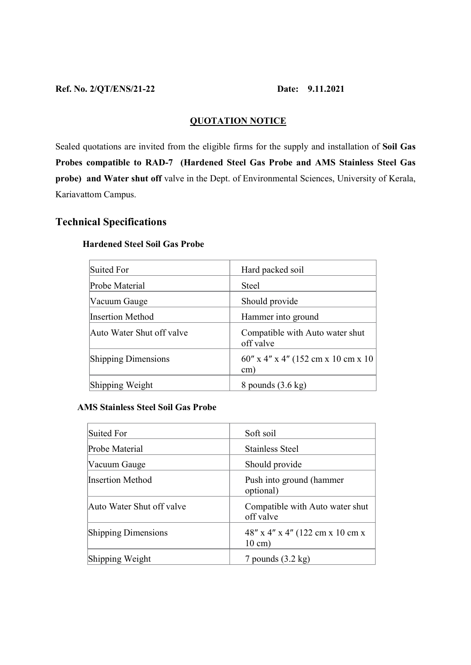### Ref. No. 2/QT/ENS/21-22 Date: 9.11.2021

# QUOTATION NOTICE

Sealed quotations are invited from the eligible firms for the supply and installation of Soil Gas Probes compatible to RAD-7 (Hardened Steel Gas Probe and AMS Stainless Steel Gas probe) and Water shut off valve in the Dept. of Environmental Sciences, University of Kerala, Kariavattom Campus.

# Technical Specifications

| Suited For                 | Hard packed soil                                        |
|----------------------------|---------------------------------------------------------|
| Probe Material             | <b>Steel</b>                                            |
| Vacuum Gauge               | Should provide                                          |
| Insertion Method           | Hammer into ground                                      |
| Auto Water Shut off valve  | Compatible with Auto water shut<br>off valve            |
| <b>Shipping Dimensions</b> | $60''$ x 4" x 4" (152 cm x 10 cm x 10)<br>$\text{cm}$ ) |
| Shipping Weight            | 8 pounds $(3.6 \text{ kg})$                             |

## Hardened Steel Soil Gas Probe

## AMS Stainless Steel Soil Gas Probe

| Suited For                 | Soft soil                                            |
|----------------------------|------------------------------------------------------|
| Probe Material             | <b>Stainless Steel</b>                               |
| Vacuum Gauge               | Should provide                                       |
| Insertion Method           | Push into ground (hammer<br>optional)                |
| Auto Water Shut off valve  | Compatible with Auto water shut<br>off valve         |
| <b>Shipping Dimensions</b> | 48" x 4" x 4" (122 cm x 10 cm x<br>$10 \text{ cm}$ ) |
| Shipping Weight            | 7 pounds $(3.2 \text{ kg})$                          |